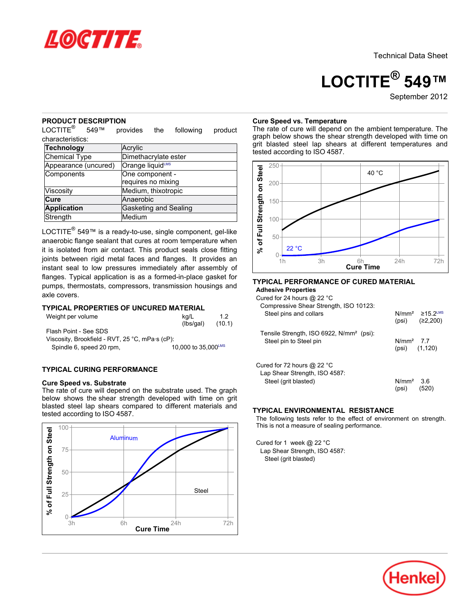

# **LOCTITE® 549™**

September 2012

### **PRODUCT DESCRIPTION**

LOCTITE® 549™ provides the following product characteristics:

| <b>Technology</b>    | Acrylic               |  |  |
|----------------------|-----------------------|--|--|
| Chemical Type        | Dimethacrylate ester  |  |  |
| Appearance (uncured) | Orange liquidLMS      |  |  |
| Components           | One component -       |  |  |
|                      | requires no mixing    |  |  |
| Viscosity            | Medium, thixotropic   |  |  |
| Cure                 | Anaerobic             |  |  |
| <b>Application</b>   | Gasketing and Sealing |  |  |
| Strength             | Medium                |  |  |

LOCTITE® 549™ is a ready-to-use, single component, gel-like anaerobic flange sealant that cures at room temperature when it is isolated from air contact. This product seals close fitting joints between rigid metal faces and flanges. It provides an instant seal to low pressures immediately after assembly of flanges. Typical application is as a formed-in-place gasket for pumps, thermostats, compressors, transmission housings and axle covers.

# **TYPICAL PROPERTIES OF UNCURED MATERIAL**

| Weight per volume                               | kg/L<br>(lbs/gal)   | 12<br>(10.1) |  |  |  |
|-------------------------------------------------|---------------------|--------------|--|--|--|
| Flash Point - See SDS                           |                     |              |  |  |  |
| Viscosity, Brookfield - RVT, 25 °C, mPa·s (cP): |                     |              |  |  |  |
| Spindle 6, speed 20 rpm,                        | 10,000 to 35,000LMS |              |  |  |  |

# **TYPICAL CURING PERFORMANCE**

#### **Cure Speed vs. Substrate**

The rate of cure will depend on the substrate used. The graph below shows the shear strength developed with time on grit blasted steel lap shears compared to different materials and tested according to ISO 4587.



#### **Cure Speed vs. Temperature**

The rate of cure will depend on the ambient temperature. The graph below shows the shear strength developed with time on grit blasted steel lap shears at different temperatures and tested according to ISO 4587.



#### **TYPICAL PERFORMANCE OF CURED MATERIAL Adhesive Properties**

Cured for 24 hours @ 22 °C

| $\frac{1}{2}$ by $\frac{1}{2}$ and $\frac{1}{2}$ and $\frac{1}{2}$ by $\frac{1}{2}$<br>Compressive Shear Strength, ISO 10123: |                      |                                       |
|-------------------------------------------------------------------------------------------------------------------------------|----------------------|---------------------------------------|
| Steel pins and collars                                                                                                        |                      | $N/mm^2$ 215.2LMS<br>(psi) $(22,200)$ |
| Tensile Strength, ISO 6922, N/mm <sup>2</sup> (psi):                                                                          |                      |                                       |
| Steel pin to Steel pin                                                                                                        | $N/mm2$ 77           | $(psi)$ $(1, 120)$                    |
| Cured for 72 hours $@$ 22 °C                                                                                                  |                      |                                       |
| Lap Shear Strength, ISO 4587:                                                                                                 |                      |                                       |
| Steel (grit blasted)                                                                                                          | $N/mm2$ 3.6<br>(psi) | (520)                                 |

### **TYPICAL ENVIRONMENTAL RESISTANCE**

The following tests refer to the effect of environment on strength. This is not a measure of sealing performance.

Cured for 1 week @ 22 °C Lap Shear Strength, ISO 4587: Steel (grit blasted)

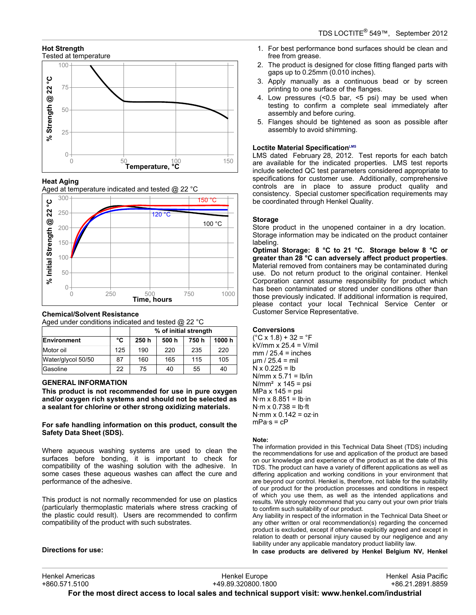# **Hot Strength**



# **Heat Aging**

Aged at temperature indicated and tested @ 22 °C



# **Chemical/Solvent Resistance**

Aged under conditions indicated and tested @ 22 °C

|                    |     | % of initial strength |       |       |       |
|--------------------|-----|-----------------------|-------|-------|-------|
| Environment        | °C  | 250 h                 | 500 h | 750 h | 1000h |
| Motor oil          | 125 | 190                   | 220   | 235   | 220   |
| Water/glycol 50/50 | 87  | 160                   | 165   | 115   | 105   |
| Gasoline           | 22  | 75                    | 40    | 55    | 40    |

# **GENERAL INFORMATION**

**This product is not recommended for use in pure oxygen and/or oxygen rich systems and should not be selected as a sealant for chlorine or other strong oxidizing materials.**

**For safe handling information on this product, consult the Safety Data Sheet (SDS).**

Where aqueous washing systems are used to clean the surfaces before bonding, it is important to check for compatibility of the washing solution with the adhesive. In some cases these aqueous washes can affect the cure and performance of the adhesive.

This product is not normally recommended for use on plastics (particularly thermoplastic materials where stress cracking of the plastic could result). Users are recommended to confirm compatibility of the product with such substrates.

- 1. For best performance bond surfaces should be clean and free from grease.
- 2. The product is designed for close fitting flanged parts with gaps up to 0.25mm (0.010 inches).
- 3. Apply manually as a continuous bead or by screen printing to one surface of the flanges.
- 4. Low pressures (<0.5 bar, <5 psi) may be used when testing to confirm a complete seal immediately after assembly and before curing.
- 5. Flanges should be tightened as soon as possible after assembly to avoid shimming.

# **Loctite Material SpecificationLMS**

LMS dated February 28, 2012. Test reports for each batch are available for the indicated properties. LMS test reports include selected QC test parameters considered appropriate to specifications for customer use. Additionally, comprehensive controls are in place to assure product quality and consistency. Special customer specification requirements may be coordinated through Henkel Quality.

### **Storage**

Store product in the unopened container in a dry location. Storage information may be indicated on the product container labeling.

**Optimal Storage: 8 °C to 21 °C. Storage below 8 °C or greater than 28 °C can adversely affect product properties**. Material removed from containers may be contaminated during use. Do not return product to the original container. Henkel Corporation cannot assume responsibility for product which has been contaminated or stored under conditions other than those previously indicated. If additional information is required, please contact your local Technical Service Center or Customer Service Representative.

### **Conversions**

 $(^{\circ}C$  x 1.8) + 32 =  $^{\circ}F$ kV/mm x 25.4 = V/mil  $mm / 25.4 = inches$  $µm / 25.4 = mil$  $N \times 0.225 = lb$  $N/mm \times 5.71 = lb/in$  $N/mm<sup>2</sup>$  x 145 = psi  $MPa \times 145 = psi$  $N·m \times 8.851 = lb·in$  $N·m \times 0.738 = lb·ft$  $N·mm \times 0.142 = oz·in$  $mPa·s = cP$ 

#### **Note:**

The information provided in this Technical Data Sheet (TDS) including the recommendations for use and application of the product are based on our knowledge and experience of the product as at the date of this TDS. The product can have a variety of different applications as well as differing application and working conditions in your environment that are beyond our control. Henkel is, therefore, not liable for the suitability of our product for the production processes and conditions in respect of which you use them, as well as the intended applications and results. We strongly recommend that you carry out your own prior trials to confirm such suitability of our product.

Any liability in respect of the information in the Technical Data Sheet or any other written or oral recommendation(s) regarding the concerned product is excluded, except if otherwise explicitly agreed and except in relation to death or personal injury caused by our negligence and any liability under any applicable mandatory product liability law.

**In case products are delivered by Henkel Belgium NV, Henkel**

**Directions for use:**